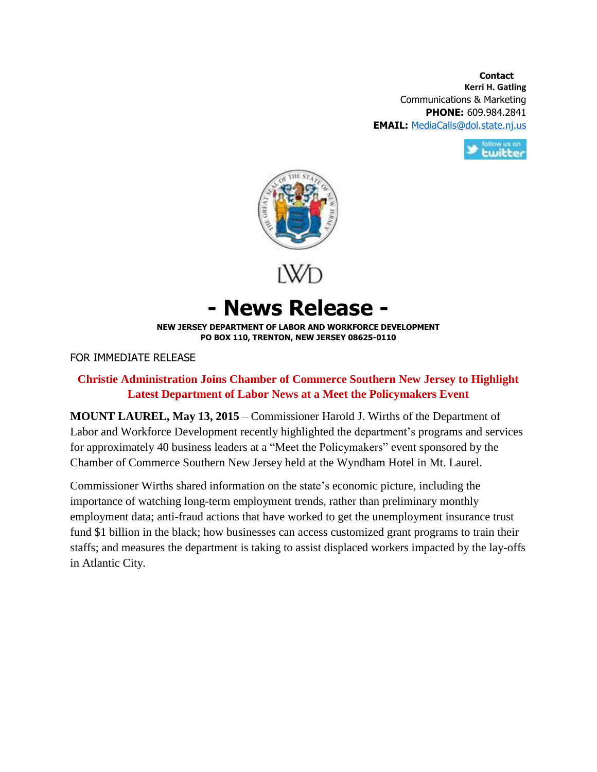**Contact Contact Kerri H. Gatling** Communications & Marketing **PHONE:** 609.984.2841 **EMAIL:** [MediaCalls@dol.state.nj.us](mailto:MediaCalls@dol.state.nj.us)





**- News Release -**

**NEW JERSEY DEPARTMENT OF LABOR AND WORKFORCE DEVELOPMENT PO BOX 110, TRENTON, NEW JERSEY 08625-0110**

FOR IMMEDIATE RELEASE

## **Christie Administration Joins Chamber of Commerce Southern New Jersey to Highlight Latest Department of Labor News at a Meet the Policymakers Event**

**MOUNT LAUREL, May 13, 2015** – Commissioner Harold J. Wirths of the Department of Labor and Workforce Development recently highlighted the department's programs and services for approximately 40 business leaders at a "Meet the Policymakers" event sponsored by the Chamber of Commerce Southern New Jersey held at the Wyndham Hotel in Mt. Laurel.

Commissioner Wirths shared information on the state's economic picture, including the importance of watching long-term employment trends, rather than preliminary monthly employment data; anti-fraud actions that have worked to get the unemployment insurance trust fund \$1 billion in the black; how businesses can access customized grant programs to train their staffs; and measures the department is taking to assist displaced workers impacted by the lay-offs in Atlantic City.